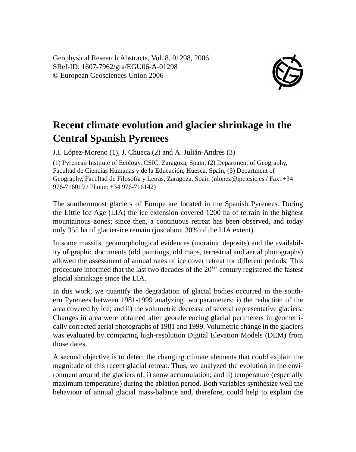Geophysical Research Abstracts, Vol. 8, 01298, 2006 SRef-ID: 1607-7962/gra/EGU06-A-01298 © European Geosciences Union 2006



## **Recent climate evolution and glacier shrinkage in the Central Spanish Pyrenees**

J.I. López-Moreno (1), J. Chueca (2) and A. Julián-Andrés (3)

(1) Pyrenean Institute of Ecology, CSIC, Zaragoza, Spain, (2) Department of Geography, Facultad de Ciencias Humanas y de la Educación, Huesca, Spain, (3) Department of Geography, Facultad de Filosofía y Letras, Zaragoza, Spain (nlopez@ipe.csic.es / Fax: +34 976-716019 / Phone: +34 976-716142)

The southernmost glaciers of Europe are located in the Spanish Pyrenees. During the Little Ice Age (LIA) the ice extension covered 1200 ha of terrain in the highest mountainous zones; since then, a continuous retreat has been observed, and today only 355 ha of glacier-ice remain (just about 30% of the LIA extent).

In some massifs, geomorphological evidences (morainic deposits) and the availability of graphic documents (old paintings, old maps, terrestrial and aerial photographs) allowed the assessment of annual rates of ice cover retreat for different periods. This procedure informed that the last two decades of the  $20<sup>th</sup>$  century registered the fastest glacial shrinkage since the LIA.

In this work, we quantify the degradation of glacial bodies occurred in the southern Pyrenees between 1981-1999 analyzing two parameters: i) the reduction of the area covered by ice; and ii) the volumetric decrease of several representative glaciers. Changes in area were obtained after georeferencing glacial perimeters in geometrically corrected aerial photographs of 1981 and 1999. Volumetric change in the glaciers was evaluated by comparing high-resolution Digital Elevation Models (DEM) from those dates.

A second objective is to detect the changing climate elements that could explain the magnitude of this recent glacial retreat. Thus, we analyzed the evolution in the environment around the glaciers of: i) snow accumulation; and ii) temperature (especially maximum temperature) during the ablation period. Both variables synthesize well the behaviour of annual glacial mass-balance and, therefore, could help to explain the